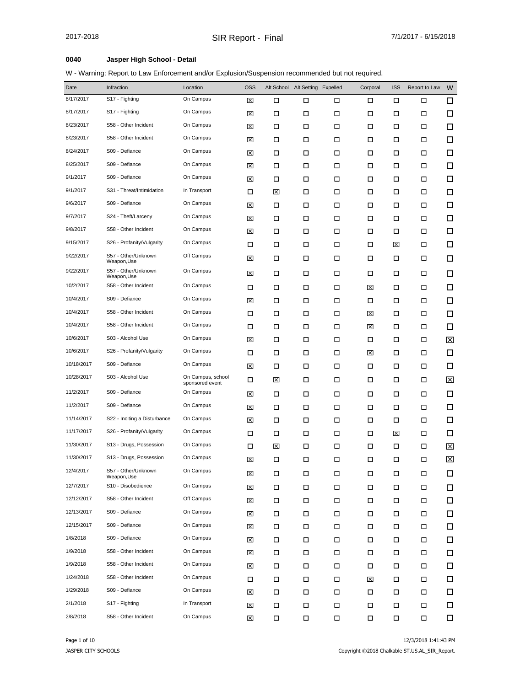### **0040 Jasper High School - Detail**

| W - Warning: Report to Law Enforcement and/or Explusion/Suspension recommended but not required. |
|--------------------------------------------------------------------------------------------------|
|--------------------------------------------------------------------------------------------------|

| Date       | Infraction                         | Location                             | <b>OSS</b>  |        | Alt School Alt Setting Expelled |        | Corporal | <b>ISS</b> | Report to Law | W      |
|------------|------------------------------------|--------------------------------------|-------------|--------|---------------------------------|--------|----------|------------|---------------|--------|
| 8/17/2017  | S17 - Fighting                     | On Campus                            | ⊠           | □      | □                               | □      | □        | □          | □             | $\Box$ |
| 8/17/2017  | S17 - Fighting                     | On Campus                            | ⊠           | □      | □                               | □      | □        | □          | □             | 口      |
| 8/23/2017  | S58 - Other Incident               | On Campus                            | ⊠           | □      | □                               | □      | □        | □          | □             | $\Box$ |
| 8/23/2017  | S58 - Other Incident               | On Campus                            | ⊠           | □      | □                               | □      | □        | □          | □             | $\Box$ |
| 8/24/2017  | S09 - Defiance                     | On Campus                            | ⊠           | □      | □                               | □      | □        | □          | □             | $\Box$ |
| 8/25/2017  | S09 - Defiance                     | On Campus                            | ⊠           | □      | □                               | □      | □        | □          | □             | □      |
| 9/1/2017   | S09 - Defiance                     | On Campus                            | ⊠           | □      | □                               | □      | □        | □          | □             | $\Box$ |
| 9/1/2017   | S31 - Threat/Intimidation          | In Transport                         | □           | ⊠      | □                               | □      | □        | □          | □             | □      |
| 9/6/2017   | S09 - Defiance                     | On Campus                            | ⊠           | П      | □                               | □      | □        | □          | □             | □      |
| 9/7/2017   | S24 - Theft/Larceny                | On Campus                            | ⊠           | □      | □                               | □      | □        | □          | □             | $\Box$ |
| 9/8/2017   | S58 - Other Incident               | On Campus                            | ⊠           | П      | □                               | □      | □        | □          | □             | $\Box$ |
| 9/15/2017  | S26 - Profanity/Vulgarity          | On Campus                            | □           | □      | □                               | □      | □        | ⊠          | □             | □      |
| 9/22/2017  | S57 - Other/Unknown<br>Weapon,Use  | Off Campus                           | ⊠           | □      | □                               | □      | □        | □          | □             | □      |
| 9/22/2017  | S57 - Other/Unknown<br>Weapon, Use | On Campus                            | ⊠           | □      | □                               | □      | □        | □          | □             | $\Box$ |
| 10/2/2017  | S58 - Other Incident               | On Campus                            | □           | □      | □                               | □      | ⊠        | □          | □             | $\Box$ |
| 10/4/2017  | S09 - Defiance                     | On Campus                            | ⊠           | □      | □                               | □      | □        | □          | □             | □      |
| 10/4/2017  | S58 - Other Incident               | On Campus                            | □           | □      | □                               | □      | ⊠        | □          | □             | $\Box$ |
| 10/4/2017  | S58 - Other Incident               | On Campus                            | □           | □      | □                               | □      | ⊠        | □          | □             | $\Box$ |
| 10/6/2017  | S03 - Alcohol Use                  | On Campus                            | ⊠           | П      | □                               | □      | □        | □          | □             | ⊠      |
| 10/6/2017  | S26 - Profanity/Vulgarity          | On Campus                            | □           | □      | □                               | □      | ⊠        | □          | □             | $\Box$ |
| 10/18/2017 | S09 - Defiance                     | On Campus                            | ⊠           | □      | □                               | □      | □        | □          | □             | $\Box$ |
| 10/28/2017 | S03 - Alcohol Use                  | On Campus, school<br>sponsored event | □           | 図      | □                               | □      | □        | □          | □             | ⊠      |
| 11/2/2017  | S09 - Defiance                     | On Campus                            | ⊠           | □      | □                               | □      | □        | □          | □             | $\Box$ |
| 11/2/2017  | S09 - Defiance                     | On Campus                            | ⊠           | □      | □                               | □      | □        | □          | □             | $\Box$ |
| 11/14/2017 | S22 - Inciting a Disturbance       | On Campus                            | ⊠           | □      | □                               | □      | □        | □          | □             | □      |
| 11/17/2017 | S26 - Profanity/Vulgarity          | On Campus                            | □           | □      | □                               | □      | □        | ⊠          | □             | 口      |
| 11/30/2017 | S13 - Drugs, Possession            | On Campus                            | □           | ⊠      | □                               | □      | □        | □          | □             | ⊠      |
| 11/30/2017 | S13 - Drugs, Possession            | On Campus                            | ⊠           | □      | □                               | □      | □        | □          | □             | ⊠      |
| 12/4/2017  | S57 - Other/Unknown<br>Weapon, Use | On Campus                            | $\boxtimes$ | П      | П                               | $\Box$ | п        | $\Box$     | Д             | □      |
| 12/7/2017  | S10 - Disobedience                 | On Campus                            | 区           | П      | □                               | $\Box$ | П        | П          | П             | □      |
| 12/12/2017 | S58 - Other Incident               | Off Campus                           | ⊠           | $\Box$ | П                               | $\Box$ | П        | □          | $\Box$        | 口      |
| 12/13/2017 | S09 - Defiance                     | On Campus                            | ⊠           | □      | П                               | $\Box$ | □        | □          | П             | □      |
| 12/15/2017 | S09 - Defiance                     | On Campus                            | ⊠           | □      | П                               | $\Box$ | □        | □          | П             | $\Box$ |
| 1/8/2018   | S09 - Defiance                     | On Campus                            | ⊠           | □      | П                               | $\Box$ | П        | □          | П             | □      |
| 1/9/2018   | S58 - Other Incident               | On Campus                            | ⊠           | □      | П                               | П      | □        | □          | П             | $\Box$ |
| 1/9/2018   | S58 - Other Incident               | On Campus                            | ⊠           | П      | П                               | $\Box$ | П        | П          | П             | □      |
| 1/24/2018  | S58 - Other Incident               | On Campus                            | □           | □      | П                               | П      | ⊠        | □          | П             | $\Box$ |
| 1/29/2018  | S09 - Defiance                     | On Campus                            | ⊠           | П      | П                               | П      | П        | П          | П             | □      |
| 2/1/2018   | S17 - Fighting                     | In Transport                         | ⊠           | П      | П                               | П      | □        | □          | П             | □      |
| 2/8/2018   | S58 - Other Incident               | On Campus                            | 図           | $\Box$ | П                               | $\Box$ | П        | П          | $\Box$        | □      |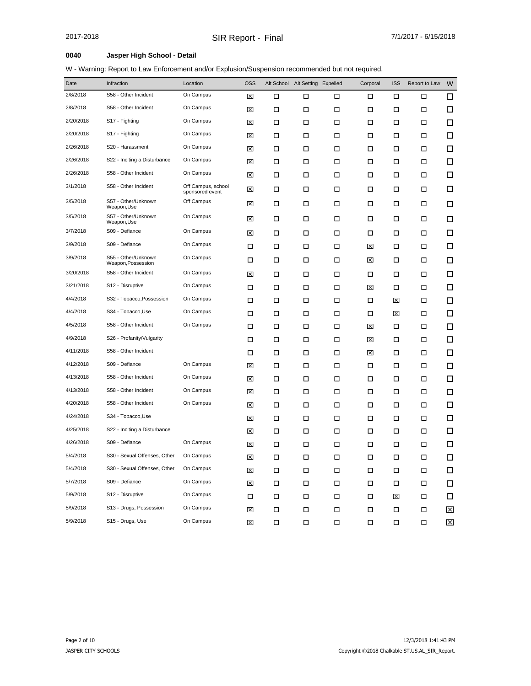# **0040 Jasper High School - Detail**

| Date      | Infraction                                | Location                              | <b>OSS</b> |        | Alt School Alt Setting Expelled |        | Corporal | <b>ISS</b> | Report to Law | W      |
|-----------|-------------------------------------------|---------------------------------------|------------|--------|---------------------------------|--------|----------|------------|---------------|--------|
| 2/8/2018  | S58 - Other Incident                      | On Campus                             | 図          | □      | □                               | □      | □        | □          | □             | ◻      |
| 2/8/2018  | S58 - Other Incident                      | On Campus                             | ⊠          | П      | □                               | □      | □        | П          | П             | □      |
| 2/20/2018 | S17 - Fighting                            | On Campus                             | 図          | □      | □                               | □      | □        | □          | □             | □      |
| 2/20/2018 | S17 - Fighting                            | On Campus                             | ⊠          | П      | □                               | □      | □        | П          | П             | □      |
| 2/26/2018 | S20 - Harassment                          | On Campus                             | ⊠          | □      | □                               | □      | □        | □          | □             | □      |
| 2/26/2018 | S22 - Inciting a Disturbance              | On Campus                             | 図          | □      | □                               | □      | □        | □          | П             | □      |
| 2/26/2018 | S58 - Other Incident                      | On Campus                             | 図          | □      | □                               | □      | □        | □          | □             | □      |
| 3/1/2018  | S58 - Other Incident                      | Off Campus, school<br>sponsored event | ⊠          | □      | □                               | □      | □        | П          | □             | □      |
| 3/5/2018  | S57 - Other/Unknown<br>Weapon, Use        | Off Campus                            | 囟          | □      | □                               | □      | □        | □          | □             | □      |
| 3/5/2018  | S57 - Other/Unknown<br>Weapon, Use        | On Campus                             | ⊠          | П      | □                               | □      | □        | П          | □             | □      |
| 3/7/2018  | S09 - Defiance                            | On Campus                             | ⊠          | □      | □                               | □      | □        | П          | $\Box$        | □      |
| 3/9/2018  | S09 - Defiance                            | On Campus                             | □          | □      | □                               | □      | ⊠        | □          | □             | □      |
| 3/9/2018  | S55 - Other/Unknown<br>Weapon, Possession | On Campus                             | □          | П      | □                               | □      | ⊠        | □          | □             | □      |
| 3/20/2018 | S58 - Other Incident                      | On Campus                             | ⊠          | □      | □                               | □      | □        | □          | П             | □      |
| 3/21/2018 | S12 - Disruptive                          | On Campus                             | □          | П      | □                               | □      | ⊠        | П          | □             | □      |
| 4/4/2018  | S32 - Tobacco, Possession                 | On Campus                             | □          | □      | □                               | □      | □        | ⊠          | □             | □      |
| 4/4/2018  | S34 - Tobacco, Use                        | On Campus                             | □          | П      | □                               | $\Box$ | □        | ⊠          | П             | □      |
| 4/5/2018  | S58 - Other Incident                      | On Campus                             | □          | □      | □                               | □      | ⊠        | □          | □             | □      |
| 4/9/2018  | S26 - Profanity/Vulgarity                 |                                       | □          | П      | □                               | □      | ⊠        | П          | П             | □      |
| 4/11/2018 | S58 - Other Incident                      |                                       | □          | □      | □                               | □      | ⊠        | □          | П             | □      |
| 4/12/2018 | S09 - Defiance                            | On Campus                             | ⊠          | П      | □                               | □      | □        | □          | П             | □      |
| 4/13/2018 | S58 - Other Incident                      | On Campus                             | ⊠          | П      | □                               | □      | □        | □          | П             | □      |
| 4/13/2018 | S58 - Other Incident                      | On Campus                             | ⊠          | П      | □                               | $\Box$ | □        | П          | П             | $\Box$ |
| 4/20/2018 | S58 - Other Incident                      | On Campus                             | 図          | П      | □                               | □      | □        | П          | □             | $\Box$ |
| 4/24/2018 | S34 - Tobacco, Use                        |                                       | ⊠          | П      | □                               | □      | □        | П          | П             | □      |
| 4/25/2018 | S22 - Inciting a Disturbance              |                                       | ⊠          | □      | □                               | □      | □        | □          | □             | □      |
| 4/26/2018 | S09 - Defiance                            | On Campus                             | ⊠          | П      | □                               | □      | □        | □          | П             | □      |
| 5/4/2018  | S30 - Sexual Offenses, Other              | On Campus                             | ⊠          | П      | □                               | □      | □        | П          | П             | □      |
| 5/4/2018  | S30 - Sexual Offenses, Other              | On Campus                             | 図          | П      | □                               | □      | □        | П          | П             | □      |
| 5/7/2018  | S09 - Defiance                            | On Campus                             | ⊠          | □      | □                               | □      | □        | □          | □             | □      |
| 5/9/2018  | S12 - Disruptive                          | On Campus                             | □          | П      | □                               | □      | □        | ⊠          | П             | □      |
| 5/9/2018  | S13 - Drugs, Possession                   | On Campus                             | ⊠          | П      | □                               | □      | □        | □          | □             | ⊠      |
| 5/9/2018  | S15 - Drugs, Use                          | On Campus                             | 図          | $\Box$ | $\Box$                          | $\Box$ | П        | $\Box$     | $\Box$        | 区      |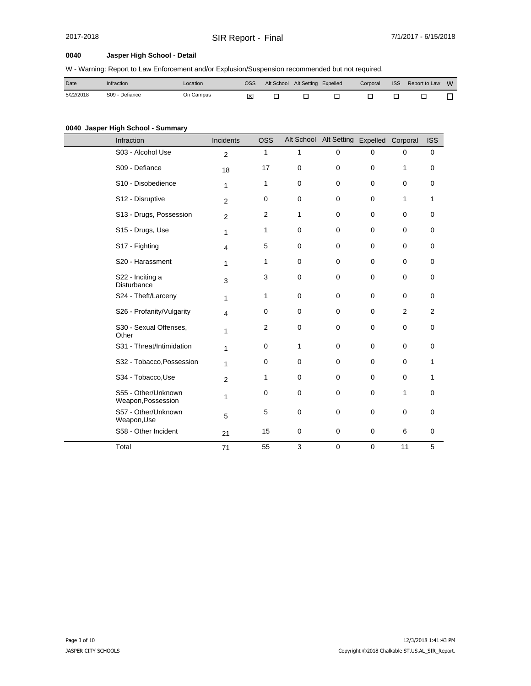# 2017-2018 SIR Report - Final 7/1/2017 - 6/15/2018

### **0040 Jasper High School - Detail**

W - Warning: Report to Law Enforcement and/or Explusion/Suspension recommended but not required.

| Date      | Infraction     | Location  | OSS | Alt School | Alt Setting Expelled | Corporal | <b>ISS</b> | Report to Law W |  |
|-----------|----------------|-----------|-----|------------|----------------------|----------|------------|-----------------|--|
| 5/22/2018 | S09 - Defiance | On Campus |     |            |                      |          |            |                 |  |

### **0040 Jasper High School - Summary**

| Infraction                                | <b>Incidents</b> | <b>OSS</b>   |              | Alt School Alt Setting Expelled Corporal |             |             | <b>ISS</b> |
|-------------------------------------------|------------------|--------------|--------------|------------------------------------------|-------------|-------------|------------|
| S03 - Alcohol Use                         | $\overline{2}$   | $\mathbf{1}$ | $\mathbf{1}$ | $\mathbf 0$                              | $\mathbf 0$ | $\mathbf 0$ | 0          |
| S09 - Defiance                            | 18               | 17           | 0            | $\mathbf 0$                              | $\mathbf 0$ | 1           | 0          |
| S10 - Disobedience                        | 1                | 1            | $\mathbf 0$  | $\mathbf 0$                              | $\mathbf 0$ | 0           | 0          |
| S12 - Disruptive                          | 2                | $\mathbf 0$  | $\mathbf 0$  | $\mathbf 0$                              | $\mathbf 0$ | 1           | 1          |
| S13 - Drugs, Possession                   | 2                | 2            | $\mathbf{1}$ | $\Omega$                                 | $\mathbf 0$ | $\Omega$    | 0          |
| S15 - Drugs, Use                          | 1                | 1            | $\mathbf 0$  | $\mathbf 0$                              | $\mathbf 0$ | $\mathbf 0$ | 0          |
| S17 - Fighting                            | $\overline{4}$   | 5            | 0            | $\mathbf 0$                              | $\mathbf 0$ | 0           | 0          |
| S20 - Harassment                          | 1                | $\mathbf{1}$ | $\mathbf 0$  | $\mathbf 0$                              | $\mathbf 0$ | $\mathbf 0$ | 0          |
| S22 - Inciting a<br><b>Disturbance</b>    | 3                | 3            | 0            | $\mathbf 0$                              | $\mathbf 0$ | 0           | 0          |
| S24 - Theft/Larceny                       | $\mathbf{1}$     | 1            | 0            | $\Omega$                                 | $\mathbf 0$ | $\mathbf 0$ | 0          |
| S26 - Profanity/Vulgarity                 | $\overline{4}$   | $\mathbf 0$  | 0            | $\mathbf 0$                              | $\mathbf 0$ | 2           | 2          |
| S30 - Sexual Offenses,<br>Other           | 1                | 2            | 0            | $\mathbf 0$                              | $\mathbf 0$ | 0           | 0          |
| S31 - Threat/Intimidation                 | 1                | $\mathbf 0$  | 1            | $\Omega$                                 | $\mathbf 0$ | $\mathbf 0$ | 0          |
| S32 - Tobacco, Possession                 | $\mathbf{1}$     | $\mathbf 0$  | 0            | $\mathbf 0$                              | $\mathbf 0$ | 0           | 1          |
| S34 - Tobacco, Use                        | 2                | 1            | $\mathbf 0$  | $\Omega$                                 | $\mathbf 0$ | $\mathbf 0$ | 1          |
| S55 - Other/Unknown<br>Weapon, Possession | 1                | $\mathbf 0$  | $\mathbf 0$  | $\mathbf 0$                              | $\mathbf 0$ | 1           | 0          |
| S57 - Other/Unknown<br>Weapon, Use        | 5                | 5            | $\pmb{0}$    | $\mathbf 0$                              | $\mathbf 0$ | $\mathbf 0$ | 0          |
| S58 - Other Incident                      | 21               | 15           | 0            | $\mathbf 0$                              | $\mathbf 0$ | 6           | $\pmb{0}$  |
| Total                                     | 71               | 55           | 3            | $\mathbf 0$                              | $\mathbf 0$ | 11          | 5          |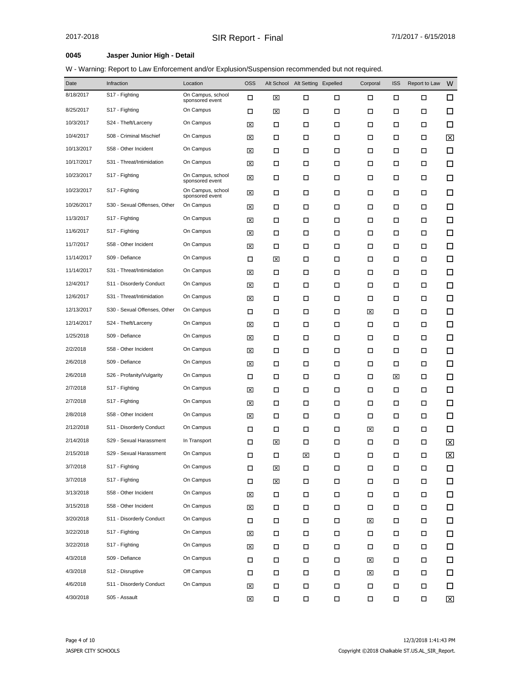# **0045 Jasper Junior High - Detail**

| Date       | Infraction                   | Location                             | <b>OSS</b> |        | Alt School Alt Setting Expelled |        | Corporal | <b>ISS</b> | Report to Law | W      |
|------------|------------------------------|--------------------------------------|------------|--------|---------------------------------|--------|----------|------------|---------------|--------|
| 8/18/2017  | S17 - Fighting               | On Campus, school<br>sponsored event | □          | ⊠      | □                               | □      | □        | □          | □             | □      |
| 8/25/2017  | S17 - Fighting               | On Campus                            | □          | ⊠      | □                               | □      | □        | □          | □             | □      |
| 10/3/2017  | S24 - Theft/Larceny          | On Campus                            | ⊠          | □      | □                               | □      | □        | □          | □             | □      |
| 10/4/2017  | S08 - Criminal Mischief      | On Campus                            | ⊠          | □      | □                               | □      | □        | □          | □             | ⊠      |
| 10/13/2017 | S58 - Other Incident         | On Campus                            | ⊠          | □      | ◻                               | □      | □        | □          | □             | □      |
| 10/17/2017 | S31 - Threat/Intimidation    | On Campus                            | ⊠          | □      | □                               | □      | □        | □          | □             | $\Box$ |
| 10/23/2017 | S17 - Fighting               | On Campus, school<br>sponsored event | ⊠          | □      | □                               | □      | □        | □          | □             | □      |
| 10/23/2017 | S17 - Fighting               | On Campus, school<br>sponsored event | ⊠          | □      | □                               | □      | □        | □          | □             | □      |
| 10/26/2017 | S30 - Sexual Offenses, Other | On Campus                            | ⊠          | □      | □                               | □      | □        | □          | □             | □      |
| 11/3/2017  | S17 - Fighting               | On Campus                            | ⊠          | □      | □                               | □      | □        | □          | □             | □      |
| 11/6/2017  | S17 - Fighting               | On Campus                            | ⊠          | □      | □                               | □      | □        | □          | □             | □      |
| 11/7/2017  | S58 - Other Incident         | On Campus                            | ⊠          | □      | □                               | □      | □        | □          | □             | □      |
| 11/14/2017 | S09 - Defiance               | On Campus                            | □          | ⊠      | □                               | □      | □        | □          | □             | □      |
| 11/14/2017 | S31 - Threat/Intimidation    | On Campus                            | ⊠          | □      | □                               | □      | □        | □          | □             | □      |
| 12/4/2017  | S11 - Disorderly Conduct     | On Campus                            | ⊠          | □      | □                               | □      | □        | □          | □             | □      |
| 12/6/2017  | S31 - Threat/Intimidation    | On Campus                            | ⊠          | □      | □                               | □      | □        | □          | □             | $\Box$ |
| 12/13/2017 | S30 - Sexual Offenses, Other | On Campus                            | □          | □      | ◻                               | □      | ⊠        | □          | □             | □      |
| 12/14/2017 | S24 - Theft/Larceny          | On Campus                            | ⊠          | □      | □                               | □      | □        | □          | □             | □      |
| 1/25/2018  | S09 - Defiance               | On Campus                            | ⊠          | □      | □                               | □      | □        | □          | □             | □      |
| 2/2/2018   | S58 - Other Incident         | On Campus                            | ⊠          | □      | □                               | □      | □        | □          | □             | $\Box$ |
| 2/6/2018   | S09 - Defiance               | On Campus                            | ⊠          | □      | ◻                               | □      | □        | □          | □             | □      |
| 2/6/2018   | S26 - Profanity/Vulgarity    | On Campus                            | □          | □      | □                               | □      | □        | ⊠          | □             | $\Box$ |
| 2/7/2018   | S17 - Fighting               | On Campus                            | ⊠          | □      | □                               | □      | □        | □          | □             | □      |
| 2/7/2018   | S17 - Fighting               | On Campus                            | ⊠          | □      | □                               | □      | □        | □          | □             | □      |
| 2/8/2018   | S58 - Other Incident         | On Campus                            | ⊠          | □      | □                               | □      | □        | □          | □             | □      |
| 2/12/2018  | S11 - Disorderly Conduct     | On Campus                            | □          | П      | □                               | □      | ⊠        | □          | □             | □      |
| 2/14/2018  | S29 - Sexual Harassment      | In Transport                         | □          | ⊠      | □                               | □      | □        | □          | □             | ⊠      |
| 2/15/2018  | S29 - Sexual Harassment      | On Campus                            | □          | □      | ⊠                               | □      | □        | □          | □             | ⊠      |
| 3/7/2018   | S17 - Fighting               | On Campus                            | П          | ⊠      | П                               | П      | □        | Д          | □             | □      |
| 3/7/2018   | S17 - Fighting               | On Campus                            | П          | ⊠      | П                               | $\Box$ | П        | П          | П             | □      |
| 3/13/2018  | S58 - Other Incident         | On Campus                            | 区          | П      | П                               | $\Box$ | П        | П          | П             | □      |
| 3/15/2018  | S58 - Other Incident         | On Campus                            | ⊠          | П      | П                               | $\Box$ | П        | П          | П             | □      |
| 3/20/2018  | S11 - Disorderly Conduct     | On Campus                            | П          | П      | П                               | $\Box$ | ⊠        | □          | П             | □      |
| 3/22/2018  | S17 - Fighting               | On Campus                            | ⊠          | П      | П                               | $\Box$ | П        | П          | П             | □      |
| 3/22/2018  | S17 - Fighting               | On Campus                            | ⊠          | П      | П                               | $\Box$ | □        | □          | П             | □      |
| 4/3/2018   | S09 - Defiance               | On Campus                            | Π          | П      | П                               | $\Box$ | ⊠        | □          | П             | 口      |
| 4/3/2018   | S12 - Disruptive             | Off Campus                           | П          | П      | П                               | $\Box$ | ⊠        | □          | □             | 口      |
| 4/6/2018   | S11 - Disorderly Conduct     | On Campus                            | ⊠          | $\Box$ | П                               | $\Box$ | П        | □          | □             | □      |
| 4/30/2018  | S05 - Assault                |                                      | ⊠          | $\Box$ | $\Box$                          | $\Box$ | П        | П          | □             | ⊠      |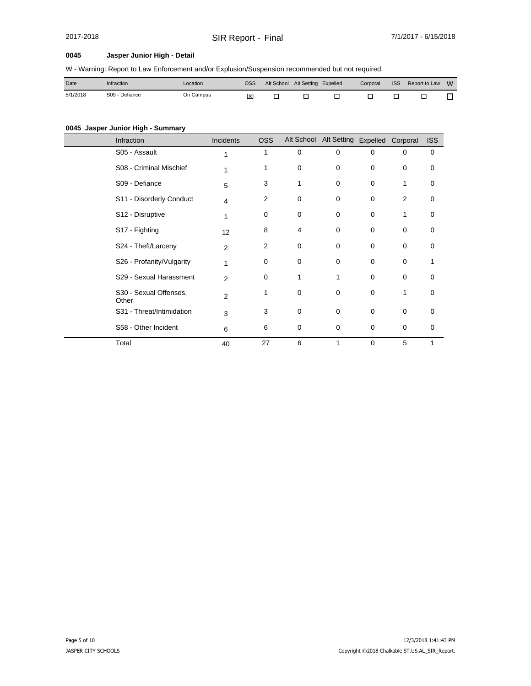# 2017-2018 SIR Report - Final 7/1/2017 - 6/15/2018

### **0045 Jasper Junior High - Detail**

W - Warning: Report to Law Enforcement and/or Explusion/Suspension recommended but not required.

| Date     | Infraction     | Location  | OSS | Alt School | Alt Setting Expelled | Corporal | <b>ISS</b> | Report to Law | W |
|----------|----------------|-----------|-----|------------|----------------------|----------|------------|---------------|---|
| 5/1/2018 | S09 - Defiance | On Campus | ⊠   |            |                      |          |            |               |   |

### **0045 Jasper Junior High - Summary**

| Infraction                      | Incidents      | <b>OSS</b>     |             | Alt School Alt Setting Expelled Corporal |             |             | <b>ISS</b> |
|---------------------------------|----------------|----------------|-------------|------------------------------------------|-------------|-------------|------------|
| S05 - Assault                   | 1              | 1              | 0           | 0                                        | $\mathbf 0$ | 0           | 0          |
| S08 - Criminal Mischief         | 1              | 1              | 0           | 0                                        | $\mathbf 0$ | 0           | 0          |
| S09 - Defiance                  | 5              | 3              | 1           | 0                                        | 0           | 1           | 0          |
| S11 - Disorderly Conduct        | 4              | 2              | 0           | 0                                        | 0           | 2           | 0          |
| S12 - Disruptive                | 1              | 0              | 0           | 0                                        | 0           | 1           | 0          |
| S17 - Fighting                  | 12             | 8              | 4           | 0                                        | 0           | 0           | 0          |
| S24 - Theft/Larceny             | $\overline{2}$ | $\overline{2}$ | $\mathbf 0$ | 0                                        | $\mathbf 0$ | $\mathbf 0$ | 0          |
| S26 - Profanity/Vulgarity       | 1              | $\mathbf 0$    | $\mathbf 0$ | 0                                        | $\mathbf 0$ | $\mathbf 0$ |            |
| S29 - Sexual Harassment         | $\overline{2}$ | 0              | 1           | 1                                        | 0           | 0           | 0          |
| S30 - Sexual Offenses,<br>Other | $\overline{2}$ | 1              | 0           | 0                                        | $\mathbf 0$ | 1           | $\Omega$   |
| S31 - Threat/Intimidation       | 3              | 3              | 0           | 0                                        | $\mathbf 0$ | 0           | 0          |
| S58 - Other Incident            | 6              | 6              | 0           | 0                                        | $\mathbf 0$ | $\mathbf 0$ | 0          |
| Total                           | 40             | 27             | 6           | 1                                        | $\mathbf 0$ | 5           |            |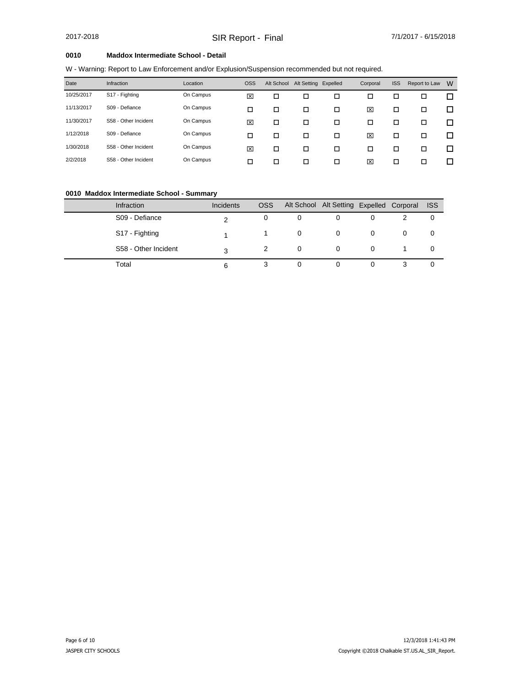### **0010 Maddox Intermediate School - Detail**

W - Warning: Report to Law Enforcement and/or Explusion/Suspension recommended but not required.

| Infraction           | Location  | <b>OSS</b> | Alt School |   |   | Corporal             | <b>ISS</b> | Report to Law | W |
|----------------------|-----------|------------|------------|---|---|----------------------|------------|---------------|---|
| S17 - Fighting       | On Campus | 図          | □          | □ | □ | □                    | П          | □             | □ |
| S09 - Defiance       | On Campus | □          | □          | □ | ◻ | 図                    | □          | □             | □ |
| S58 - Other Incident | On Campus | 図          | □          | □ | ◻ | □                    | □          | □             | □ |
| S09 - Defiance       | On Campus | □          | □          | □ | ◻ | 図                    | □          | □             | □ |
| S58 - Other Incident | On Campus | ⊠          | □          | □ | ◻ | □                    | □          | □             | □ |
| S58 - Other Incident | On Campus | □          | □          | □ | ◻ | 図                    | □          | □             | □ |
|                      |           |            |            |   |   | Alt Setting Expelled |            |               |   |

#### **0010 Maddox Intermediate School - Summary**

| <b>Infraction</b>          | <b>Incidents</b> | <b>OSS</b> | Alt School Alt Setting Expelled Corporal |  |   | <b>ISS</b> |
|----------------------------|------------------|------------|------------------------------------------|--|---|------------|
| S09 - Defiance             |                  | 0          | 0                                        |  |   | 0          |
| S <sub>17</sub> - Fighting |                  |            | 0                                        |  | 0 | 0          |
| S58 - Other Incident       | ิว               |            | $\Omega$                                 |  |   | 0          |
| Total                      | 6                |            |                                          |  |   | O          |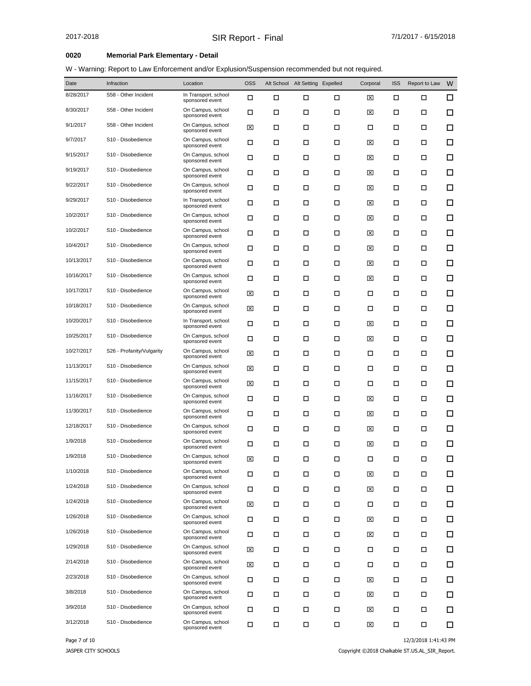## **0020 Memorial Park Elementary - Detail**

| Date         | Infraction                     | Location                                | <b>OSS</b> |   | Alt School Alt Setting Expelled |   | Corporal | <b>ISS</b> | Report to Law        | W |
|--------------|--------------------------------|-----------------------------------------|------------|---|---------------------------------|---|----------|------------|----------------------|---|
| 8/28/2017    | S58 - Other Incident           | In Transport, school<br>sponsored event | □          | □ | □                               | □ | ⊠        | □          | □                    | □ |
| 8/30/2017    | S58 - Other Incident           | On Campus, school<br>sponsored event    | □          | □ | □                               | □ | ⊠        | □          | □                    | □ |
| 9/1/2017     | S58 - Other Incident           | On Campus, school<br>sponsored event    | ⊠          | □ | □                               | □ | □        | □          | □                    | □ |
| 9/7/2017     | S10 - Disobedience             | On Campus, school<br>sponsored event    | □          | □ | □                               | □ | ⊠        | □          | □                    | □ |
| 9/15/2017    | S10 - Disobedience             | On Campus, school<br>sponsored event    | □          | □ | □                               | □ | ⊠        | □          | □                    | □ |
| 9/19/2017    | S10 - Disobedience             | On Campus, school<br>sponsored event    | □          | □ | □                               | □ | ⊠        | □          | □                    | □ |
| 9/22/2017    | S10 - Disobedience             | On Campus, school<br>sponsored event    | □          | □ | □                               | □ | ⊠        | □          | □                    | □ |
| 9/29/2017    | S <sub>10</sub> - Disobedience | In Transport, school<br>sponsored event | □          | □ | □                               | □ | ⊠        | □          | □                    | □ |
| 10/2/2017    | S10 - Disobedience             | On Campus, school<br>sponsored event    | □          | □ | □                               | □ | ⊠        | □          | □                    | □ |
| 10/2/2017    | S10 - Disobedience             | On Campus, school<br>sponsored event    | □          | □ | □                               | □ | ⊠        | □          | □                    | □ |
| 10/4/2017    | S10 - Disobedience             | On Campus, school<br>sponsored event    | □          | □ | □                               | □ | ⊠        | □          | □                    | □ |
| 10/13/2017   | S10 - Disobedience             | On Campus, school<br>sponsored event    | □          | □ | □                               | □ | ⊠        | □          | □                    | □ |
| 10/16/2017   | S <sub>10</sub> - Disobedience | On Campus, school<br>sponsored event    | □          | □ | □                               | □ | ⊠        | □          | □                    | □ |
| 10/17/2017   | S10 - Disobedience             | On Campus, school<br>sponsored event    | ⊠          | □ | □                               | □ | □        | □          | □                    | □ |
| 10/18/2017   | S10 - Disobedience             | On Campus, school<br>sponsored event    | ⊠          | □ | □                               | □ | □        | □          | □                    | □ |
| 10/20/2017   | S10 - Disobedience             | In Transport, school<br>sponsored event | □          | □ | □                               | □ | ⊠        | □          | □                    | □ |
| 10/25/2017   | S10 - Disobedience             | On Campus, school<br>sponsored event    | □          | □ | □                               | □ | ⊠        | □          | □                    | □ |
| 10/27/2017   | S26 - Profanity/Vulgarity      | On Campus, school<br>sponsored event    | ⊠          | □ | □                               | □ | □        | □          | □                    | □ |
| 11/13/2017   | S <sub>10</sub> - Disobedience | On Campus, school<br>sponsored event    | ⊠          | □ | □                               | □ | □        | □          | □                    | □ |
| 11/15/2017   | S <sub>10</sub> - Disobedience | On Campus, school<br>sponsored event    | ⊠          | □ | ◻                               | □ | □        | □          | □                    | □ |
| 11/16/2017   | S <sub>10</sub> - Disobedience | On Campus, school<br>sponsored event    | □          | □ | □                               | □ | ⊠        | □          | □                    | □ |
| 11/30/2017   | S10 - Disobedience             | On Campus, school<br>sponsored event    | □          | □ | □                               | □ | ⊠        | □          | □                    | □ |
| 12/18/2017   | S <sub>10</sub> - Disobedience | On Campus, school<br>sponsored event    | □          | □ | □                               | □ | ⊠        | □          | □                    | □ |
| 1/9/2018     | S10 - Disobedience             | On Campus, school<br>sponsored event    | □          | □ | □                               | □ | ⊠        | □          | □                    | □ |
| 1/9/2018     | S10 - Disobedience             | On Campus, school<br>sponsored event    | ⊠          | □ | □                               | □ | □        | □          | □                    | □ |
| 1/10/2018    | S10 - Disobedience             | On Campus, school<br>sponsored event    | □          | □ | □                               | □ | ⊠        | П          | □                    | □ |
| 1/24/2018    | S10 - Disobedience             | On Campus, school<br>sponsored event    | □          | □ | ◻                               | □ | ⊠        | □          | □                    | □ |
| 1/24/2018    | S10 - Disobedience             | On Campus, school<br>sponsored event    | ⊠          | □ | □                               | □ | ◻        | □          | □                    | □ |
| 1/26/2018    | S10 - Disobedience             | On Campus, school<br>sponsored event    | □          | □ | □                               | □ | ⊠        | □          | □                    | □ |
| 1/26/2018    | S10 - Disobedience             | On Campus, school<br>sponsored event    | □          | □ | □                               | □ | ⊠        | □          | □                    | □ |
| 1/29/2018    | S10 - Disobedience             | On Campus, school<br>sponsored event    | ⊠          | □ | □                               | □ | □        | □          | □                    | □ |
| 2/14/2018    | S10 - Disobedience             | On Campus, school<br>sponsored event    | ⊠          | □ | □                               | □ | □        | □          | □                    | □ |
| 2/23/2018    | S10 - Disobedience             | On Campus, school<br>sponsored event    | □          | □ | □                               | □ | ⊠        | □          | □                    | □ |
| 3/8/2018     | S10 - Disobedience             | On Campus, school<br>sponsored event    | □          | □ | □                               | □ | ⊠        | □          | □                    | □ |
| 3/9/2018     | S10 - Disobedience             | On Campus, school<br>sponsored event    | □          | □ | ◻                               | □ | ⊠        | □          | □                    | □ |
| 3/12/2018    | S10 - Disobedience             | On Campus, school<br>sponsored event    | □          | □ | □                               | □ | ⊠        | □          | □                    | □ |
| Page 7 of 10 |                                |                                         |            |   |                                 |   |          |            | 12/3/2018 1:41:43 PM |   |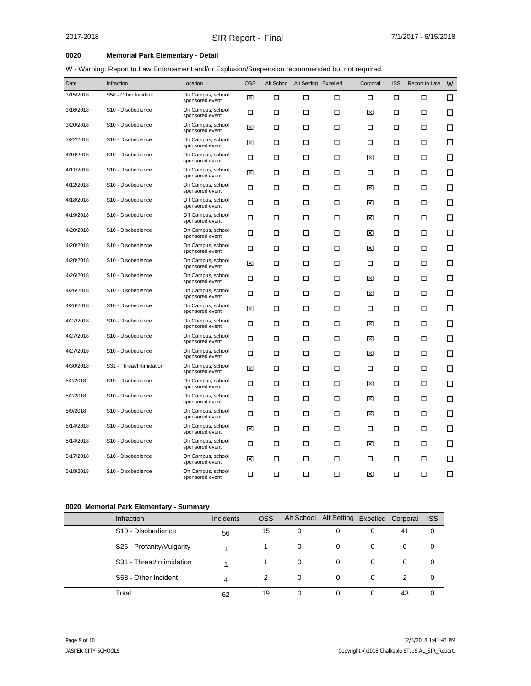# **0020 Memorial Park Elementary - Detail**

W - Warning: Report to Law Enforcement and/or Explusion/Suspension recommended but not required.

| Date      | Infraction                     | Location                              | <b>OSS</b> |   | Alt School Alt Setting Expelled |   | Corporal | <b>ISS</b> | Report to Law | W      |
|-----------|--------------------------------|---------------------------------------|------------|---|---------------------------------|---|----------|------------|---------------|--------|
| 3/15/2018 | S58 - Other Incident           | On Campus, school<br>sponsored event  | 囟          | □ | □                               | □ | □        | □          | □             | $\Box$ |
| 3/16/2018 | S10 - Disobedience             | On Campus, school<br>sponsored event  | □          | □ | □                               | □ | ⊠        | □          | □             | $\Box$ |
| 3/20/2018 | S10 - Disobedience             | On Campus, school<br>sponsored event  | ⊠          | □ | □                               | □ | □        | □          | □             | □      |
| 3/22/2018 | S10 - Disobedience             | On Campus, school<br>sponsored event  | ⊠          | □ | □                               | □ | □        | □          | □             | □      |
| 4/10/2018 | S <sub>10</sub> - Disobedience | On Campus, school<br>sponsored event  | □          | □ | □                               | □ | ⊠        | □          | □             | □      |
| 4/11/2018 | S10 - Disobedience             | On Campus, school<br>sponsored event  | ⊠          | □ | □                               | □ | □        | □          | □             | □      |
| 4/12/2018 | S10 - Disobedience             | On Campus, school<br>sponsored event  | □          | □ | □                               | □ | ⊠        | □          | □             | $\Box$ |
| 4/18/2018 | S10 - Disobedience             | Off Campus, school<br>sponsored event | □          | □ | □                               | □ | ⊠        | □          | □             | □      |
| 4/19/2018 | S10 - Disobedience             | Off Campus, school<br>sponsored event | □          | □ | □                               | □ | ⊠        | □          | □             | □      |
| 4/20/2018 | S <sub>10</sub> - Disobedience | On Campus, school<br>sponsored event  | □          | □ | □                               | □ | ⊠        | □          | □             | □      |
| 4/20/2018 | S10 - Disobedience             | On Campus, school<br>sponsored event  | ◻          | □ | □                               | □ | ⊠        | □          | □             | □      |
| 4/20/2018 | S10 - Disobedience             | On Campus, school<br>sponsored event  | 冈          | □ | □                               | □ | □        | □          | □             | $\Box$ |
| 4/26/2018 | S10 - Disobedience             | On Campus, school<br>sponsored event  | □          | □ | □                               | □ | ⊠        | □          | □             | □      |
| 4/26/2018 | S10 - Disobedience             | On Campus, school<br>sponsored event  | □          | □ | □                               | □ | ⊠        | □          | □             | □      |
| 4/26/2018 | S <sub>10</sub> - Disobedience | On Campus, school<br>sponsored event  | 囟          | □ | □                               | □ | □        | □          | □             | □      |
| 4/27/2018 | S10 - Disobedience             | On Campus, school<br>sponsored event  | □          | □ | □                               | □ | ⊠        | □          | □             | □      |
| 4/27/2018 | S <sub>10</sub> - Disobedience | On Campus, school<br>sponsored event  | □          | □ | □                               | □ | ⊠        | □          | □             | $\Box$ |
| 4/27/2018 | S10 - Disobedience             | On Campus, school<br>sponsored event  | □          | □ | □                               | □ | ⊠        | □          | □             | □      |
| 4/30/2018 | S31 - Threat/Intimidation      | On Campus, school<br>sponsored event  | ⊠          | □ | □                               | □ | □        | □          | □             | □      |
| 5/2/2018  | S10 - Disobedience             | On Campus, school<br>sponsored event  | □          | □ | □                               | □ | ⊠        | □          | □             | □      |
| 5/2/2018  | S10 - Disobedience             | On Campus, school<br>sponsored event  | ◻          | □ | □                               | □ | ⊠        | □          | □             | □      |
| 5/9/2018  | S <sub>10</sub> - Disobedience | On Campus, school<br>sponsored event  | □          | □ | □                               | □ | ⊠        | □          | □             | $\Box$ |
| 5/14/2018 | S10 - Disobedience             | On Campus, school<br>sponsored event  | ⊠          | □ | □                               | □ | □        | □          | □             | □      |
| 5/14/2018 | S10 - Disobedience             | On Campus, school<br>sponsored event  | □          | □ | □                               | □ | ⊠        | □          | □             | □      |
| 5/17/2018 | S10 - Disobedience             | On Campus, school<br>sponsored event  | ⊠          | □ | □                               | □ | □        | □          | □             | □      |
| 5/18/2018 | S10 - Disobedience             | On Campus, school<br>sponsored event  | □          | □ | □                               | □ | 図        | □          | П             | $\Box$ |

#### **0020 Memorial Park Elementary - Summary**

| <b>Infraction</b>              | Incidents | <b>OSS</b> |   | Alt School Alt Setting Expelled Corporal |          |    | <b>ISS</b> |
|--------------------------------|-----------|------------|---|------------------------------------------|----------|----|------------|
| S <sub>10</sub> - Disobedience | 56        | 15         | 0 | 0                                        | 0        | 41 | 0          |
| S26 - Profanity/Vulgarity      |           |            | 0 | 0                                        | 0        | 0  | 0          |
| S31 - Threat/Intimidation      |           |            | 0 | 0                                        | $\Omega$ | 0  | 0          |
| S58 - Other Incident           | 4         | 2          | 0 | 0                                        | 0        | 2  | 0          |
| Total                          | 62        | 19         | 0 | 0                                        |          | 43 |            |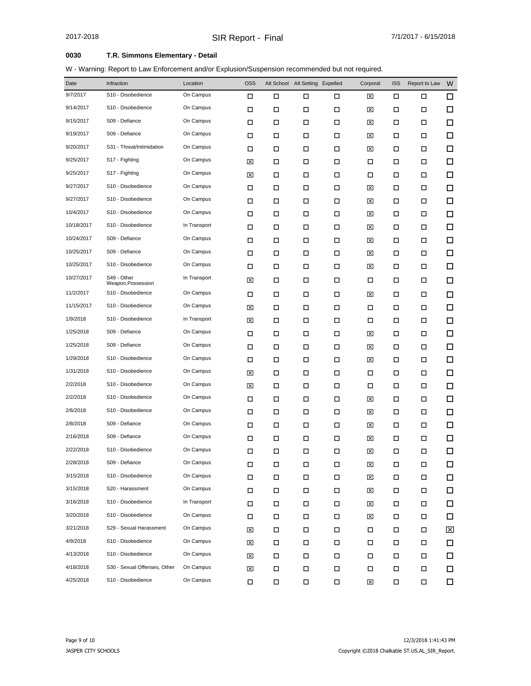# **0030 T.R. Simmons Elementary - Detail**

| Date       | Infraction                        | Location     | <b>OSS</b> |   | Alt School Alt Setting Expelled |        | Corporal | <b>ISS</b> | Report to Law | W      |
|------------|-----------------------------------|--------------|------------|---|---------------------------------|--------|----------|------------|---------------|--------|
| 9/7/2017   | S10 - Disobedience                | On Campus    | □          | □ | □                               | □      | ⊠        | □          | □             | $\Box$ |
| 9/14/2017  | S10 - Disobedience                | On Campus    | □          | □ | □                               | □      | ⊠        | □          | □             | □      |
| 9/15/2017  | S09 - Defiance                    | On Campus    | □          | □ | П                               | □      | ⊠        | □          | □             | $\Box$ |
| 9/19/2017  | S09 - Defiance                    | On Campus    | □          | □ | □                               | □      | ⊠        | □          | □             | $\Box$ |
| 9/20/2017  | S31 - Threat/Intimidation         | On Campus    | □          | □ | П                               | □      | ⊠        | □          | □             | $\Box$ |
| 9/25/2017  | S17 - Fighting                    | On Campus    | ⊠          | □ | □                               | □      | □        | □          | □             | $\Box$ |
| 9/25/2017  | S17 - Fighting                    | On Campus    | ⊠          | □ | П                               | □      | □        | □          | □             | $\Box$ |
| 9/27/2017  | S10 - Disobedience                | On Campus    | □          | □ | □                               | □      | ⊠        | □          | □             | $\Box$ |
| 9/27/2017  | S10 - Disobedience                | On Campus    | □          | □ | □                               | □      | ⊠        | □          | □             | $\Box$ |
| 10/4/2017  | S10 - Disobedience                | On Campus    | □          | □ | □                               | □      | ⊠        | □          | □             | $\Box$ |
| 10/18/2017 | S10 - Disobedience                | In Transport | □          | □ | □                               | □      | ⊠        | □          | □             | $\Box$ |
| 10/24/2017 | S09 - Defiance                    | On Campus    | □          | □ | □                               | □      | ⊠        | ◻          | □             | $\Box$ |
| 10/25/2017 | S09 - Defiance                    | On Campus    | □          | □ | □                               | □      | ⊠        | □          | □             | $\Box$ |
| 10/25/2017 | S10 - Disobedience                | On Campus    | □          | □ | □                               | □      | ⊠        | ◻          | □             | $\Box$ |
| 10/27/2017 | S49 - Other<br>Weapon, Possession | In Transport | ⊠          | □ | □                               | □      | □        | □          | □             | $\Box$ |
| 11/2/2017  | S10 - Disobedience                | On Campus    | □          | □ | □                               | □      | ⊠        | □          | □             | $\Box$ |
| 11/15/2017 | S10 - Disobedience                | On Campus    | ⊠          | □ | □                               | □      | □        | □          | □             | $\Box$ |
| 1/9/2018   | S10 - Disobedience                | In Transport | ⊠          | □ | □                               | □      | □        | □          | □             | $\Box$ |
| 1/25/2018  | S09 - Defiance                    | On Campus    | □          | □ | □                               | □      | ⊠        | □          | □             | $\Box$ |
| 1/25/2018  | S09 - Defiance                    | On Campus    | □          | □ | □                               | □      | ⊠        | □          | □             | $\Box$ |
| 1/29/2018  | S10 - Disobedience                | On Campus    | □          | □ | □                               | □      | ⊠        | □          | □             | $\Box$ |
| 1/31/2018  | S10 - Disobedience                | On Campus    | ⊠          | □ | □                               | □      | □        | □          | □             | $\Box$ |
| 2/2/2018   | S10 - Disobedience                | On Campus    | ⊠          | □ | □                               | □      | □        | □          | □             | $\Box$ |
| 2/2/2018   | S10 - Disobedience                | On Campus    | □          | □ | □                               | □      | ⊠        | □          | □             | $\Box$ |
| 2/6/2018   | S10 - Disobedience                | On Campus    | □          | □ | □                               | □      | ⊠        | □          | □             | $\Box$ |
| 2/8/2018   | S09 - Defiance                    | On Campus    | □          | □ | □                               | □      | ⊠        | □          | □             | $\Box$ |
| 2/16/2018  | S09 - Defiance                    | On Campus    | □          | □ | □                               | □      | ⊠        | □          | □             | $\Box$ |
| 2/22/2018  | S10 - Disobedience                | On Campus    | □          | □ | □                               | □      | ⊠        | □          | □             | $\Box$ |
| 2/28/2018  | S09 - Defiance                    | On Campus    | □          | □ | □                               | □      | ⊠        | □          | □             | $\Box$ |
| 3/15/2018  | S10 - Disobedience                | On Campus    | П          | П | П                               | $\Box$ | ⊠        | □          | П             | 口      |
| 3/15/2018  | S20 - Harassment                  | On Campus    | П          | П | П                               | П      | ⊠        | П          | П             | $\Box$ |
| 3/16/2018  | S10 - Disobedience                | In Transport | □          | □ | П                               | □      | ⊠        | □          | □             | □      |
| 3/20/2018  | S10 - Disobedience                | On Campus    | □          | П | П                               | П      | ⊠        | □          | □             | $\Box$ |
| 3/21/2018  | S29 - Sexual Harassment           | On Campus    | ⊠          | □ | П                               | $\Box$ | □        | □          | □             | X      |
| 4/9/2018   | S10 - Disobedience                | On Campus    | ⊠          | □ | П                               | П      | □        | □          | □             | $\Box$ |
| 4/13/2018  | S10 - Disobedience                | On Campus    | ⊠          | □ | П                               | □      | □        | □          | □             | □      |
| 4/18/2018  | S30 - Sexual Offenses, Other      | On Campus    | ⊠          | □ | П                               | $\Box$ | П        | □          | П             | □      |
| 4/25/2018  | S10 - Disobedience                | On Campus    | П          | П | П                               | П      | ⊠        | П          | П             | □      |